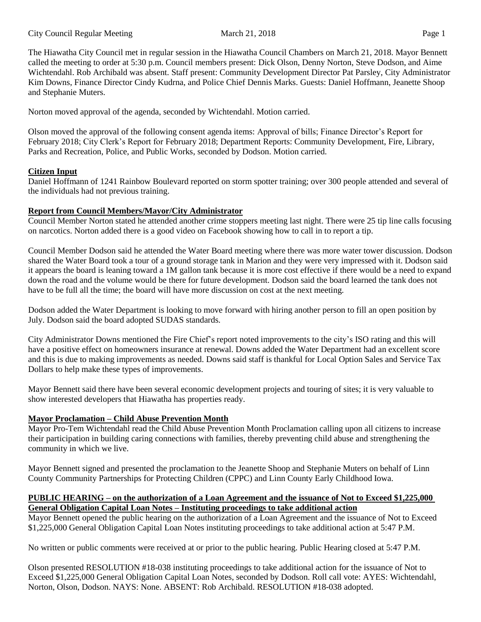The Hiawatha City Council met in regular session in the Hiawatha Council Chambers on March 21, 2018. Mayor Bennett called the meeting to order at 5:30 p.m. Council members present: Dick Olson, Denny Norton, Steve Dodson, and Aime Wichtendahl. Rob Archibald was absent. Staff present: Community Development Director Pat Parsley, City Administrator Kim Downs, Finance Director Cindy Kudrna, and Police Chief Dennis Marks. Guests: Daniel Hoffmann, Jeanette Shoop and Stephanie Muters.

Norton moved approval of the agenda, seconded by Wichtendahl. Motion carried.

Olson moved the approval of the following consent agenda items: Approval of bills; Finance Director's Report for February 2018; City Clerk's Report for February 2018; Department Reports: Community Development, Fire, Library, Parks and Recreation, Police, and Public Works, seconded by Dodson. Motion carried.

## **Citizen Input**

Daniel Hoffmann of 1241 Rainbow Boulevard reported on storm spotter training; over 300 people attended and several of the individuals had not previous training.

# **Report from Council Members/Mayor/City Administrator**

Council Member Norton stated he attended another crime stoppers meeting last night. There were 25 tip line calls focusing on narcotics. Norton added there is a good video on Facebook showing how to call in to report a tip.

Council Member Dodson said he attended the Water Board meeting where there was more water tower discussion. Dodson shared the Water Board took a tour of a ground storage tank in Marion and they were very impressed with it. Dodson said it appears the board is leaning toward a 1M gallon tank because it is more cost effective if there would be a need to expand down the road and the volume would be there for future development. Dodson said the board learned the tank does not have to be full all the time; the board will have more discussion on cost at the next meeting.

Dodson added the Water Department is looking to move forward with hiring another person to fill an open position by July. Dodson said the board adopted SUDAS standards.

City Administrator Downs mentioned the Fire Chief's report noted improvements to the city's ISO rating and this will have a positive effect on homeowners insurance at renewal. Downs added the Water Department had an excellent score and this is due to making improvements as needed. Downs said staff is thankful for Local Option Sales and Service Tax Dollars to help make these types of improvements.

Mayor Bennett said there have been several economic development projects and touring of sites; it is very valuable to show interested developers that Hiawatha has properties ready.

# **Mayor Proclamation – Child Abuse Prevention Month**

Mayor Pro-Tem Wichtendahl read the Child Abuse Prevention Month Proclamation calling upon all citizens to increase their participation in building caring connections with families, thereby preventing child abuse and strengthening the community in which we live.

Mayor Bennett signed and presented the proclamation to the Jeanette Shoop and Stephanie Muters on behalf of Linn County Community Partnerships for Protecting Children (CPPC) and Linn County Early Childhood Iowa.

### **PUBLIC HEARING – on the authorization of a Loan Agreement and the issuance of Not to Exceed \$1,225,000 General Obligation Capital Loan Notes – Instituting proceedings to take additional action**

Mayor Bennett opened the public hearing on the authorization of a Loan Agreement and the issuance of Not to Exceed \$1,225,000 General Obligation Capital Loan Notes instituting proceedings to take additional action at 5:47 P.M.

No written or public comments were received at or prior to the public hearing. Public Hearing closed at 5:47 P.M.

Olson presented RESOLUTION #18-038 instituting proceedings to take additional action for the issuance of Not to Exceed \$1,225,000 General Obligation Capital Loan Notes, seconded by Dodson. Roll call vote: AYES: Wichtendahl, Norton, Olson, Dodson. NAYS: None. ABSENT: Rob Archibald. RESOLUTION #18-038 adopted.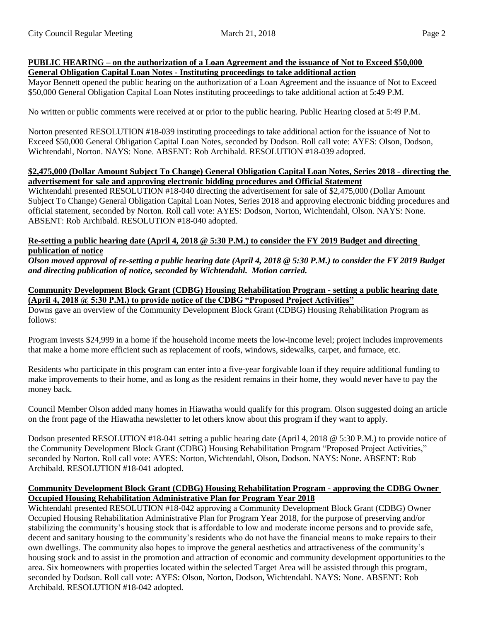#### **PUBLIC HEARING – on the authorization of a Loan Agreement and the issuance of Not to Exceed \$50,000 General Obligation Capital Loan Notes - Instituting proceedings to take additional action**

Mayor Bennett opened the public hearing on the authorization of a Loan Agreement and the issuance of Not to Exceed \$50,000 General Obligation Capital Loan Notes instituting proceedings to take additional action at 5:49 P.M.

No written or public comments were received at or prior to the public hearing. Public Hearing closed at 5:49 P.M.

Norton presented RESOLUTION #18-039 instituting proceedings to take additional action for the issuance of Not to Exceed \$50,000 General Obligation Capital Loan Notes, seconded by Dodson. Roll call vote: AYES: Olson, Dodson, Wichtendahl, Norton. NAYS: None. ABSENT: Rob Archibald. RESOLUTION #18-039 adopted.

#### **\$2,475,000 (Dollar Amount Subject To Change) General Obligation Capital Loan Notes, Series 2018 - directing the advertisement for sale and approving electronic bidding procedures and Official Statement**

Wichtendahl presented RESOLUTION #18-040 directing the advertisement for sale of \$2,475,000 (Dollar Amount Subject To Change) General Obligation Capital Loan Notes, Series 2018 and approving electronic bidding procedures and official statement, seconded by Norton. Roll call vote: AYES: Dodson, Norton, Wichtendahl, Olson. NAYS: None. ABSENT: Rob Archibald. RESOLUTION #18-040 adopted.

#### **Re-setting a public hearing date (April 4, 2018 @ 5:30 P.M.) to consider the FY 2019 Budget and directing publication of notice**

*Olson moved approval of re-setting a public hearing date (April 4, 2018 @ 5:30 P.M.) to consider the FY 2019 Budget and directing publication of notice, seconded by Wichtendahl. Motion carried.*

### **Community Development Block Grant (CDBG) Housing Rehabilitation Program - setting a public hearing date (April 4, 2018 @ 5:30 P.M.) to provide notice of the CDBG "Proposed Project Activities"**

Downs gave an overview of the Community Development Block Grant (CDBG) Housing Rehabilitation Program as follows:

Program invests \$24,999 in a home if the household income meets the low-income level; project includes improvements that make a home more efficient such as replacement of roofs, windows, sidewalks, carpet, and furnace, etc.

Residents who participate in this program can enter into a five-year forgivable loan if they require additional funding to make improvements to their home, and as long as the resident remains in their home, they would never have to pay the money back.

Council Member Olson added many homes in Hiawatha would qualify for this program. Olson suggested doing an article on the front page of the Hiawatha newsletter to let others know about this program if they want to apply.

Dodson presented RESOLUTION #18-041 setting a public hearing date (April 4, 2018 @ 5:30 P.M.) to provide notice of the Community Development Block Grant (CDBG) Housing Rehabilitation Program "Proposed Project Activities," seconded by Norton. Roll call vote: AYES: Norton, Wichtendahl, Olson, Dodson. NAYS: None. ABSENT: Rob Archibald. RESOLUTION #18-041 adopted.

### **Community Development Block Grant (CDBG) Housing Rehabilitation Program - approving the CDBG Owner Occupied Housing Rehabilitation Administrative Plan for Program Year 2018**

Wichtendahl presented RESOLUTION #18-042 approving a Community Development Block Grant (CDBG) Owner Occupied Housing Rehabilitation Administrative Plan for Program Year 2018, for the purpose of preserving and/or stabilizing the community's housing stock that is affordable to low and moderate income persons and to provide safe, decent and sanitary housing to the community's residents who do not have the financial means to make repairs to their own dwellings. The community also hopes to improve the general aesthetics and attractiveness of the community's housing stock and to assist in the promotion and attraction of economic and community development opportunities to the area. Six homeowners with properties located within the selected Target Area will be assisted through this program, seconded by Dodson. Roll call vote: AYES: Olson, Norton, Dodson, Wichtendahl. NAYS: None. ABSENT: Rob Archibald. RESOLUTION #18-042 adopted.